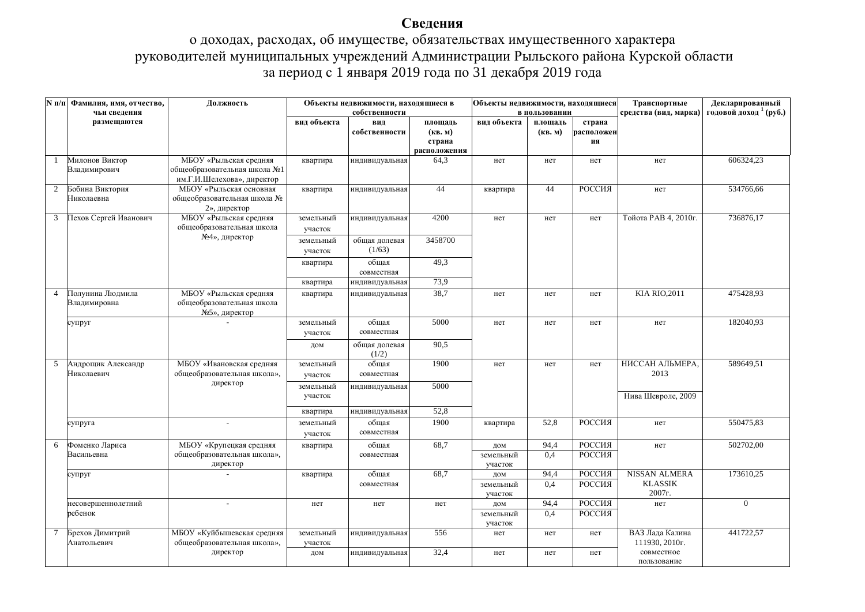## Сведения

## о доходах, расходах, об имуществе, обязательствах имущественного характера руководителей муниципальных учреждений Администрации Рыльского района Курской области за период с 1 января 2019 года по 31 декабря 2019 года

|                | <b>N</b> п/п Фамилия, имя, отчество,<br>чьи сведения | Должность                                                                            | Объекты недвижимости, находящиеся в<br>собственности |                         | Объекты недвижимости, находящиеся | в пользовании               |                    | Транспортные<br>средства (вид, марка) | Декларированный<br>годовой доход <sup>1</sup> (руб.) |                |
|----------------|------------------------------------------------------|--------------------------------------------------------------------------------------|------------------------------------------------------|-------------------------|-----------------------------------|-----------------------------|--------------------|---------------------------------------|------------------------------------------------------|----------------|
|                | размещаются                                          |                                                                                      | вид объекта                                          | вид<br>собственности    | площадь<br>(KB. M)<br>страна      | вид объекта                 | площадь<br>(KB, M) | страна<br>расположен<br>ия            |                                                      |                |
|                |                                                      |                                                                                      |                                                      |                         | расположения                      |                             |                    |                                       |                                                      |                |
| -1             | Милонов Виктор<br>Владимирович                       | МБОУ «Рыльская средняя<br>общеобразовательная школа №1<br>им.Г.И.Шелехова», директор | квартира                                             | индивидуальная          | 64,3                              | нет                         | нет                | нет                                   | нет                                                  | 606324,23      |
| 2              | Бобина Виктория<br>Николаевна                        | МБОУ «Рыльская основная<br>общеобразовательная школа №<br>2», директор               | квартира                                             | индивидуальная          | 44                                | квартира                    | 44                 | РОССИЯ                                | нет                                                  | 534766,66      |
| 3              | Пехов Сергей Иванович                                | МБОУ «Рыльская средняя<br>общеобразовательная школа                                  | земельный<br>участок                                 | индивидуальная          | 4200                              | нет                         | нет                | нет                                   | Тойота РАВ 4, 2010г.                                 | 736876,17      |
|                |                                                      | №4», директор                                                                        | земельный<br>участок                                 | общая долевая<br>(1/63) | 3458700                           |                             |                    |                                       |                                                      |                |
|                |                                                      |                                                                                      | квартира                                             | общая<br>совместная     | 49,3                              |                             |                    |                                       |                                                      |                |
|                |                                                      |                                                                                      | квартира                                             | индивидуальная          | 73,9                              |                             |                    |                                       |                                                      |                |
| $\overline{4}$ | Полунина Людмила<br>Владимировна                     | МБОУ «Рыльская средняя<br>общеобразовательная школа<br>№5», директор                 | квартира                                             | индивидуальная          | 38,7                              | нет                         | нет                | нет                                   | <b>KIA RIO, 2011</b>                                 | 475428,93      |
|                | супруг                                               |                                                                                      | земельный<br>участок                                 | общая<br>совместная     | 5000                              | нет                         | нет                | нет                                   | нет                                                  | 182040,93      |
|                |                                                      |                                                                                      | дом                                                  | общая долевая<br>(1/2)  | 90,5                              |                             |                    |                                       |                                                      |                |
| 5              | Андрощик Александр<br>Николаевич                     | МБОУ «Ивановская средняя<br>общеобразовательная школа»,                              | земельный<br>участок                                 | общая<br>совместная     | 1900                              | нет                         | нет                | нет                                   | НИССАН АЛЬМЕРА,<br>2013                              | 589649,51      |
|                |                                                      | директор                                                                             | земельный<br>участок                                 | индивидуальная          | 5000                              |                             |                    |                                       | Нива Шевроле, 2009                                   |                |
|                |                                                      |                                                                                      | квартира                                             | индивидуальная          | 52,8                              |                             |                    |                                       |                                                      |                |
|                | супруга                                              | $\overline{a}$                                                                       | земельный<br>участок                                 | общая<br>совместная     | 1900                              | квартира                    | 52,8               | РОССИЯ                                | нет                                                  | 550475,83      |
| 6              | Фоменко Лариса<br>Васильевна                         | МБОУ «Крупецкая средняя<br>общеобразовательная школа»,<br>директор                   | квартира                                             | общая<br>совместная     | 68,7                              | дом<br>земельный<br>участок | 94,4<br>0,4        | РОССИЯ<br>РОССИЯ                      | нет                                                  | 502702,00      |
|                | супруг                                               |                                                                                      | квартира                                             | общая<br>совместная     | 68,7                              | дом<br>земельный<br>участок | 94,4<br>0,4        | РОССИЯ<br>РОССИЯ                      | <b>NISSAN ALMERA</b><br><b>KLASSIK</b><br>2007г.     | 173610,25      |
|                | несовершеннолетний<br>ребенок                        |                                                                                      | нет                                                  | нет                     | нет                               | дом<br>земельный<br>участок | 94,4<br>0.4        | РОССИЯ<br>РОССИЯ                      | нет                                                  | $\overline{0}$ |
| $\tau$         | Брехов Димитрий<br>Анатольевич                       | МБОУ «Куйбышевская средняя<br>общеобразовательная школа»,                            | земельный<br>участок                                 | индивидуальная          | 556                               | нет                         | нет                | нет                                   | ВАЗ Лада Калина<br>111930, 2010г.                    | 441722,57      |
|                |                                                      | директор                                                                             | дом                                                  | индивидуальная          | 32,4                              | нет                         | нет                | нет                                   | совместное<br>пользование                            |                |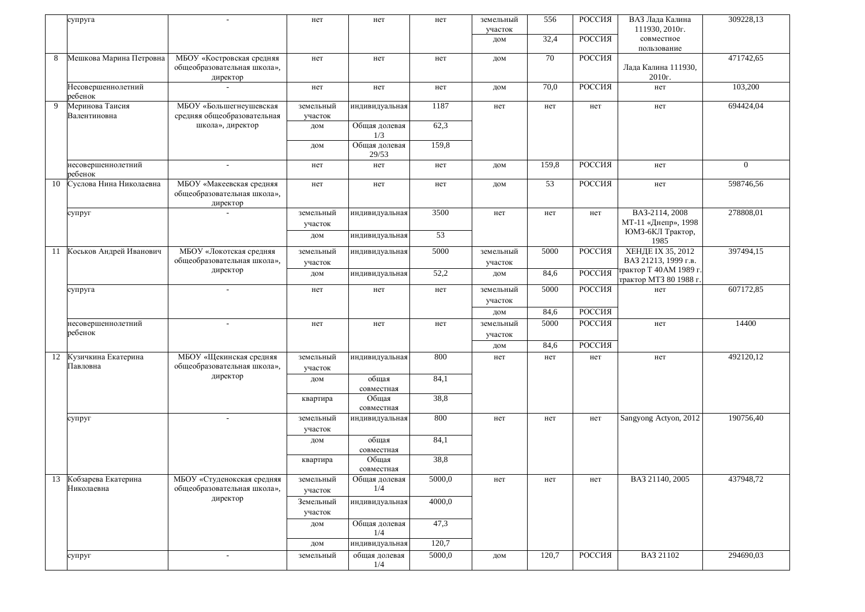|    | супруга                              |                                                                      | нет                  | нет                    | нет    | земельный<br>участок<br>дом | 556<br>32,4 | РОССИЯ<br>РОССИЯ | ВАЗ Лада Калина<br>111930, 2010г.<br>совместное           | 309228,13      |
|----|--------------------------------------|----------------------------------------------------------------------|----------------------|------------------------|--------|-----------------------------|-------------|------------------|-----------------------------------------------------------|----------------|
| 8  | Мешкова Марина Петровна              | МБОУ «Костровская средняя<br>общеобразовательная школа»,<br>директор | нет                  | нет                    | нет    | дом                         | 70          | РОССИЯ           | пользование<br>Лада Калина 111930,<br>2010r.              | 471742,65      |
|    | Несовершеннолетний<br>ребенок        |                                                                      | нет                  | нет                    | нет    | ДОМ                         | 70,0        | РОССИЯ           | нет                                                       | 103,200        |
| 9  | Меринова Таисия<br>Валентиновна      | МБОУ «Большегнеушевская<br>средняя общеобразовательная               | земельный<br>участок | индивидуальная         | 1187   | нет                         | нет         | нет              | нет                                                       | 694424,04      |
|    |                                      | школа», директор                                                     | дом                  | Общая долевая<br>1/3   | 62,3   |                             |             |                  |                                                           |                |
|    |                                      |                                                                      | дом                  | Общая долевая<br>29/53 | 159,8  |                             |             |                  |                                                           |                |
|    | несовершеннолетний<br>ребенок        | $\sim$                                                               | нет                  | нет                    | нет    | дом                         | 159,8       | РОССИЯ           | нет                                                       | $\overline{0}$ |
| 10 | Суслова Нина Николаевна              | МБОУ «Макеевская средняя<br>общеобразовательная школа»,<br>директор  | нет                  | нет                    | нет    | дом                         | 53          | РОССИЯ           | нет                                                       | 598746,56      |
|    | супруг                               |                                                                      | земельный<br>участок | индивидуальная         | 3500   | нет                         | нет         | нет              | BA3-2114, 2008<br>МТ-11 «Днепр», 1998<br>ЮМЗ-6КЛ Трактор, | 278808,01      |
|    |                                      |                                                                      | дом                  | индивидуальная         | 53     |                             |             |                  | 1985                                                      |                |
| 11 | Коськов Андрей Иванович              | МБОУ «Локотская средняя<br>общеобразовательная школа»,               | земельный<br>участок | индивидуальная         | 5000   | земельный<br>участок        | 5000        | РОССИЯ           | ХЕНДЕ IX 35, 2012<br>ВАЗ 21213, 1999 г.в.                 | 397494,15      |
|    |                                      | директор                                                             | дом                  | индивидуальная         | 52,2   | дом                         | 84,6        | РОССИЯ           | грактор Т 40АМ 1989 г.<br>трактор МТЗ 80 1988 г.          |                |
|    | супруга                              | $\sim$                                                               | нет                  | нет                    | нет    | земельный                   | 5000        | РОССИЯ           | нет                                                       | 607172,85      |
|    |                                      |                                                                      |                      |                        |        | участок<br>ДОМ              | 84,6        | РОССИЯ           |                                                           |                |
|    | несовершеннолетний<br>ребенок        | $\sim$                                                               | нет                  | нет                    | нет    | земельный                   | 5000        | РОССИЯ           | нет                                                       | 14400          |
|    |                                      |                                                                      |                      |                        |        | участок<br>ДОМ              | 84,6        | РОССИЯ           |                                                           |                |
| 12 | Кузичкина Екатерина<br>Павловна      | МБОУ «Щекинская средняя<br>общеобразовательная школа»,               | земельный<br>участок | индивидуальная         | 800    | нет                         | нет         | нет              | нет                                                       | 492120,12      |
|    |                                      | директор                                                             | дом                  | общая<br>совместная    | 84,1   |                             |             |                  |                                                           |                |
|    |                                      |                                                                      | квартира             | Общая<br>совместная    | 38,8   |                             |             |                  |                                                           |                |
|    | супруг                               | $\sim$                                                               | земельный            | индивидуальная         | 800    | нет                         | нет         | нет              | Sangyong Actyon, 2012                                     | 190756,40      |
|    |                                      |                                                                      | участок<br>дом       | общая                  | 84,1   |                             |             |                  |                                                           |                |
|    |                                      |                                                                      |                      | совместная             |        |                             |             |                  |                                                           |                |
|    |                                      |                                                                      | квартира             | Общая<br>совместная    | 38,8   |                             |             |                  |                                                           |                |
|    | 13 Кобзарева Екатерина<br>Николаевна | МБОУ «Студенокская средняя<br>общеобразовательная школа»,            | земельный<br>участок | Общая долевая<br>1/4   | 5000,0 | нет                         | нет         | нет              | BA3 21140, 2005                                           | 437948,72      |
|    |                                      | директор                                                             | Земельный<br>участок | индивидуальная         | 4000,0 |                             |             |                  |                                                           |                |
|    |                                      |                                                                      | дом                  | Общая долевая<br>1/4   | 47,3   |                             |             |                  |                                                           |                |
|    |                                      |                                                                      | дом                  | индивидуальная         | 120,7  |                             |             |                  |                                                           |                |
|    | супруг                               | $\sim$                                                               | земельный            | общая долевая<br>1/4   | 5000,0 | дом                         | 120,7       | РОССИЯ           | BA3 21102                                                 | 294690,03      |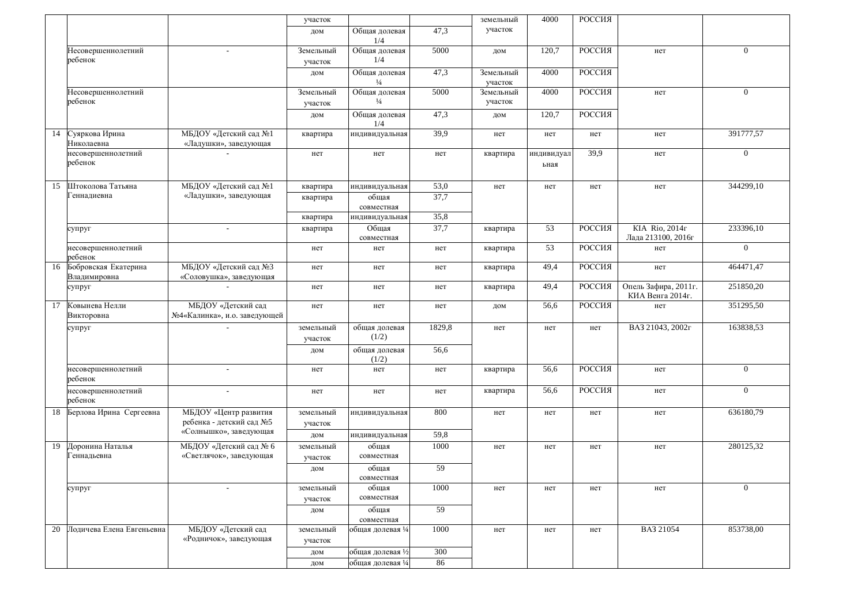|    |                                         |                                                    | участок              |                                |        | земельный            | 4000               | РОССИЯ |                                          |                |
|----|-----------------------------------------|----------------------------------------------------|----------------------|--------------------------------|--------|----------------------|--------------------|--------|------------------------------------------|----------------|
|    |                                         |                                                    | дом                  | Общая долевая<br>1/4           | 47,3   | участок              |                    |        |                                          |                |
|    | Несовершеннолетний<br>ребенок           |                                                    | Земельный<br>участок | Общая долевая<br>1/4           | 5000   | дом                  | 120,7              | РОССИЯ | нет                                      | $\overline{0}$ |
|    |                                         |                                                    | дом                  | Общая долевая<br>$\frac{1}{4}$ | 47,3   | Земельный<br>участок | 4000               | РОССИЯ |                                          |                |
|    | Несовершеннолетний<br>ребенок           |                                                    | Земельный<br>участок | Общая долевая<br>$\frac{1}{4}$ | 5000   | Земельный<br>участок | 4000               | РОССИЯ | нет                                      | $\overline{0}$ |
|    |                                         |                                                    | дом                  | Общая долевая<br>1/4           | 47,3   | дом                  | 120,7              | РОССИЯ |                                          |                |
| 14 | Суяркова Ирина<br>Николаевна            | МБДОУ «Детский сад №1<br>«Ладушки», заведующая     | квартира             | индивидуальная                 | 39,9   | нет                  | нет                | нет    | нет                                      | 391777,57      |
|    | несовершеннолетний<br>ребенок           |                                                    | нет                  | нет                            | нет    | квартира             | индивидуал<br>ьная | 39.9   | нет                                      | $\overline{0}$ |
| 15 | Штоколова Татьяна                       | МБДОУ «Детский сад №1                              | квартира             | индивидуальная                 | 53,0   | нет                  | нет                | нет    | нет                                      | 344299,10      |
|    | еннадиевна                              | «Ладушки», заведующая                              | квартира             | общая<br>совместная            | 37,7   |                      |                    |        |                                          |                |
|    |                                         |                                                    | квартира             | индивидуальная                 | 35,8   |                      |                    |        |                                          |                |
|    | супруг                                  | $\overline{\phantom{a}}$                           | квартира             | Общая<br>совместная            | 37,7   | квартира             | 53                 | РОССИЯ | KIA Rio, 2014r<br>Лада 213100, 2016г     | 233396,10      |
|    | несовершеннолетний<br>ребенок           |                                                    | нет                  | нет                            | нет    | квартира             | 53                 | РОССИЯ | нет                                      | $\overline{0}$ |
|    | 16 Бобровская Екатерина<br>Владимировна | МБДОУ «Детский сад №3<br>«Соловушка», заведующая   | нет                  | нет                            | нет    | квартира             | 49,4               | РОССИЯ | нет                                      | 464471,47      |
|    | супруг                                  |                                                    | нет                  | нет                            | нет    | квартира             | 49,4               | РОССИЯ | Опель Зафира, 2011г.<br>КИА Венга 2014г. | 251850,20      |
| 17 | Ковынева Нелли<br>Викторовна            | МБДОУ «Детский сад<br>№4«Калинка», и.о. заведующей | нет                  | нет                            | нет    | дом                  | 56,6               | РОССИЯ | нет                                      | 351295,50      |
|    | супруг                                  |                                                    | земельный<br>участок | общая долевая<br>(1/2)         | 1829,8 | нет                  | нет                | нет    | BA3 21043, 2002r                         | 163838,53      |
|    |                                         |                                                    | дом                  | общая долевая<br>(1/2)         | 56,6   |                      |                    |        |                                          |                |
|    | несовершеннолетний<br>ребенок           |                                                    | нет                  | нет                            | нет    | квартира             | 56,6               | РОССИЯ | нет                                      | $\overline{0}$ |
|    | несовершеннолетний<br>ребенок           |                                                    | нет                  | нет                            | нет    | квартира             | 56,6               | РОССИЯ | нет                                      | $\overline{0}$ |
|    | 18 Берлова Ирина Сергеевна              | МБДОУ «Центр развития<br>ребенка - детский сад №5  | земельный<br>участок | индивидуальная                 | 800    | нет                  | нет                | нет    | нет                                      | 636180,79      |
|    |                                         | «Солнышко», заведующая                             | дом                  | индивидуальная                 | 59,8   |                      |                    |        |                                          |                |
| 19 | Доронина Наталья                        | МБДОУ «Детский сад № 6                             | земельный            | общая                          | 1000   | нет                  | нет                | нет    | нет                                      | 280125,32      |
|    | еннадьевна                              | «Светлячок», заведующая                            | участок              | совместная                     |        |                      |                    |        |                                          |                |
|    |                                         |                                                    | дом                  | общая<br>совместная            | 59     |                      |                    |        |                                          |                |
|    | супруг                                  |                                                    | земельный            | общая                          | 1000   | нет                  | нет                | нет    | нет                                      | $\overline{0}$ |
|    |                                         |                                                    | участок              | совместная                     |        |                      |                    |        |                                          |                |
|    |                                         |                                                    | дом                  | общая<br>совместная            | 59     |                      |                    |        |                                          |                |
| 20 | Лодичева Елена Евгеньевна               | МБДОУ «Детский сад                                 | земельный            | общая долевая 1/4              | 1000   | нет                  | нет                | нет    | BA3 21054                                | 853738,00      |
|    |                                         | «Родничок», заведующая                             | участок              |                                |        |                      |                    |        |                                          |                |
|    |                                         |                                                    | дом                  | общая долевая 1⁄2              | 300    |                      |                    |        |                                          |                |
|    |                                         |                                                    | дом                  | общая долевая 1/4              | 86     |                      |                    |        |                                          |                |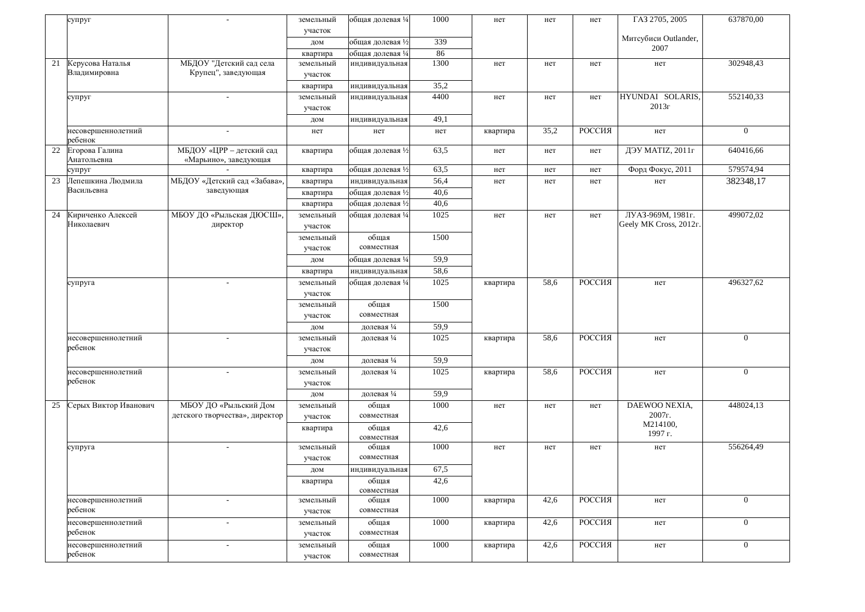|    | супруг                           |                                                   | земельный            | общая долевая ¼   | 1000 | нет      | нет  | нет    | ГАЗ 2705, 2005               | 637870,00      |
|----|----------------------------------|---------------------------------------------------|----------------------|-------------------|------|----------|------|--------|------------------------------|----------------|
|    |                                  |                                                   | участок              |                   |      |          |      |        |                              |                |
|    |                                  |                                                   | дом                  | общая долевая 1⁄2 | 339  |          |      |        | Митсубиси Outlander,<br>2007 |                |
|    |                                  |                                                   | квартира             | общая долевая ¼   | 86   |          |      |        |                              |                |
| 21 | Керусова Наталья<br>Владимировна | МБДОУ "Детский сад села<br>Крупец", заведующая    | земельный<br>участок | индивидуальная    | 1300 | нет      | нет  | нет    | нет                          | 302948,43      |
|    |                                  |                                                   | квартира             | индивидуальная    | 35,2 |          |      |        |                              |                |
|    | супруг                           | $\overline{\phantom{a}}$                          | земельный            | индивидуальная    | 4400 | нет      | нет  | нет    | HYUNDAI SOLARIS,<br>2013r    | 552140,33      |
|    |                                  |                                                   | участок              |                   | 49,1 |          |      |        |                              |                |
|    | несовершеннолетний               |                                                   | дом                  | индивидуальная    |      |          | 35,2 | РОССИЯ |                              | $\overline{0}$ |
|    | ребенок                          |                                                   | нет                  | нет               | нет  | квартира |      |        | нет                          |                |
| 22 | Егорова Галина<br>Анатольевна    | МБДОУ «ЦРР - детский сад<br>«Марьино», заведующая | квартира             | общая долевая 1/2 | 63,5 | нет      | нет  | нет    | ДЭУ МАТІZ, 2011г             | 640416,66      |
|    | супруг                           |                                                   | квартира             | общая долевая 1/2 | 63,5 | нет      | нет  | нет    | Форд Фокус, 2011             | 579574,94      |
| 23 | Лепешкина Людмила                | МБДОУ «Детский сад «Забава»,                      | квартира             | индивидуальная    | 56,4 | нет      | нет  | нет    | нет                          | 382348,17      |
|    | Васильевна                       | заведующая                                        | квартира             | общая долевая 1/2 | 40,6 |          |      |        |                              |                |
|    |                                  |                                                   | квартира             | общая долевая 1/2 | 40,6 |          |      |        |                              |                |
| 24 | Кириченко Алексей                | МБОУ ДО «Рыльская ДЮСШ»,                          | земельный            | общая долевая 1/4 | 1025 | нет      | нет  | нет    | ЛУАЗ-969М, 1981г.            | 499072,02      |
|    | Николаевич                       | директор                                          | участок              |                   |      |          |      |        | Geely MK Cross, 2012r.       |                |
|    |                                  |                                                   | земельный            | общая             | 1500 |          |      |        |                              |                |
|    |                                  |                                                   | участок              | совместная        |      |          |      |        |                              |                |
|    |                                  |                                                   | дом                  | общая долевая ¼   | 59,9 |          |      |        |                              |                |
|    |                                  |                                                   | квартира             | индивидуальная    | 58,6 |          |      |        |                              |                |
|    | супруга                          | $\sim$                                            | земельный            | общая долевая ¼   | 1025 | квартира | 58.6 | РОССИЯ | нет                          | 496327,62      |
|    |                                  |                                                   | участок              |                   |      |          |      |        |                              |                |
|    |                                  |                                                   | земельный            | общая             | 1500 |          |      |        |                              |                |
|    |                                  |                                                   | участок              | совместная        |      |          |      |        |                              |                |
|    |                                  |                                                   | дом                  | долевая 1/4       | 59,9 |          |      |        |                              |                |
|    | несовершеннолетний               |                                                   | земельный            | долевая 1/4       | 1025 | квартира | 58,6 | РОССИЯ | нет                          | $\overline{0}$ |
|    | ребенок                          |                                                   | участок              |                   |      |          |      |        |                              |                |
|    |                                  |                                                   | дом                  | долевая 1/4       | 59,9 |          |      |        |                              |                |
|    | несовершеннолетний               | $\sim$                                            | земельный            | долевая 1/4       | 1025 | квартира | 58,6 | РОССИЯ | нет                          | $\overline{0}$ |
|    | ребенок                          |                                                   | участок              |                   |      |          |      |        |                              |                |
|    |                                  |                                                   | дом                  | долевая 1/4       | 59,9 |          |      |        |                              |                |
| 25 | Серых Виктор Иванович            | МБОУ ДО «Рыльский Дом                             | земельный            | общая             | 1000 | нет      | нет  | нет    | DAEWOO NEXIA,                | 448024,13      |
|    |                                  | детского творчества», директор                    | участок              | совместная        |      |          |      |        | 2007г.                       |                |
|    |                                  |                                                   | квартира             | общая             | 42,6 |          |      |        | M214100,                     |                |
|    |                                  |                                                   |                      | совместная        |      |          |      |        | 1997 г.                      |                |
|    | супруга                          |                                                   | земельный            | общая             | 1000 | нет      | нет  | нет    | нет                          | 556264,49      |
|    |                                  |                                                   | участок              | совместная        |      |          |      |        |                              |                |
|    |                                  |                                                   | дом                  | индивидуальная    | 67,5 |          |      |        |                              |                |
|    |                                  |                                                   | квартира             | общая             | 42,6 |          |      |        |                              |                |
|    |                                  |                                                   |                      | совместная        |      |          |      |        |                              |                |
|    | несовершеннолетний               | $\overline{\phantom{a}}$                          | земельный            | общая             | 1000 | квартира | 42,6 | РОССИЯ | нет                          | $\overline{0}$ |
|    | ребенок                          |                                                   | участок              | совместная        |      |          |      |        |                              |                |
|    | несовершеннолетний               | $\overline{\phantom{a}}$                          | земельный            | общая             | 1000 | квартира | 42,6 | РОССИЯ | нет                          | $\overline{0}$ |
|    | ребенок                          |                                                   | участок              | совместная        |      |          |      |        |                              |                |
|    | несовершеннолетний               | $\overline{\phantom{a}}$                          | земельный            | общая             | 1000 | квартира | 42,6 | РОССИЯ | нет                          | $\overline{0}$ |
|    | ребенок                          |                                                   | участок              | совместная        |      |          |      |        |                              |                |